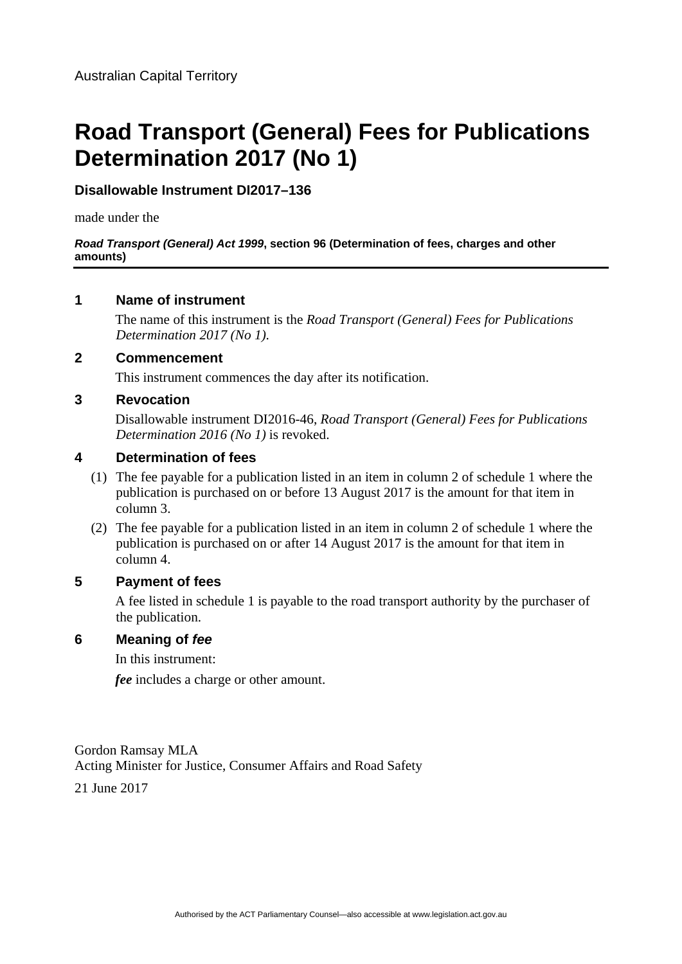# **Road Transport (General) Fees for Publications Determination 2017 (No 1)**

# **Disallowable Instrument DI2017–136**

made under the

#### *Road Transport (General) Act 1999***, section 96 (Determination of fees, charges and other amounts)**

### **1 Name of instrument**

The name of this instrument is the *Road Transport (General) Fees for Publications Determination 2017 (No 1)*.

### **2 Commencement**

This instrument commences the day after its notification.

### **3 Revocation**

Disallowable instrument DI2016-46, *Road Transport (General) Fees for Publications Determination 2016 (No 1)* is revoked.

# **4 Determination of fees**

- (1) The fee payable for a publication listed in an item in column 2 of schedule 1 where the publication is purchased on or before 13 August 2017 is the amount for that item in column 3.
- (2) The fee payable for a publication listed in an item in column 2 of schedule 1 where the publication is purchased on or after 14 August 2017 is the amount for that item in column 4.

# **5 Payment of fees**

A fee listed in schedule 1 is payable to the road transport authority by the purchaser of the publication.

# **6 Meaning of** *fee*

In this instrument:

*fee* includes a charge or other amount.

Gordon Ramsay MLA Acting Minister for Justice, Consumer Affairs and Road Safety

21 June 2017